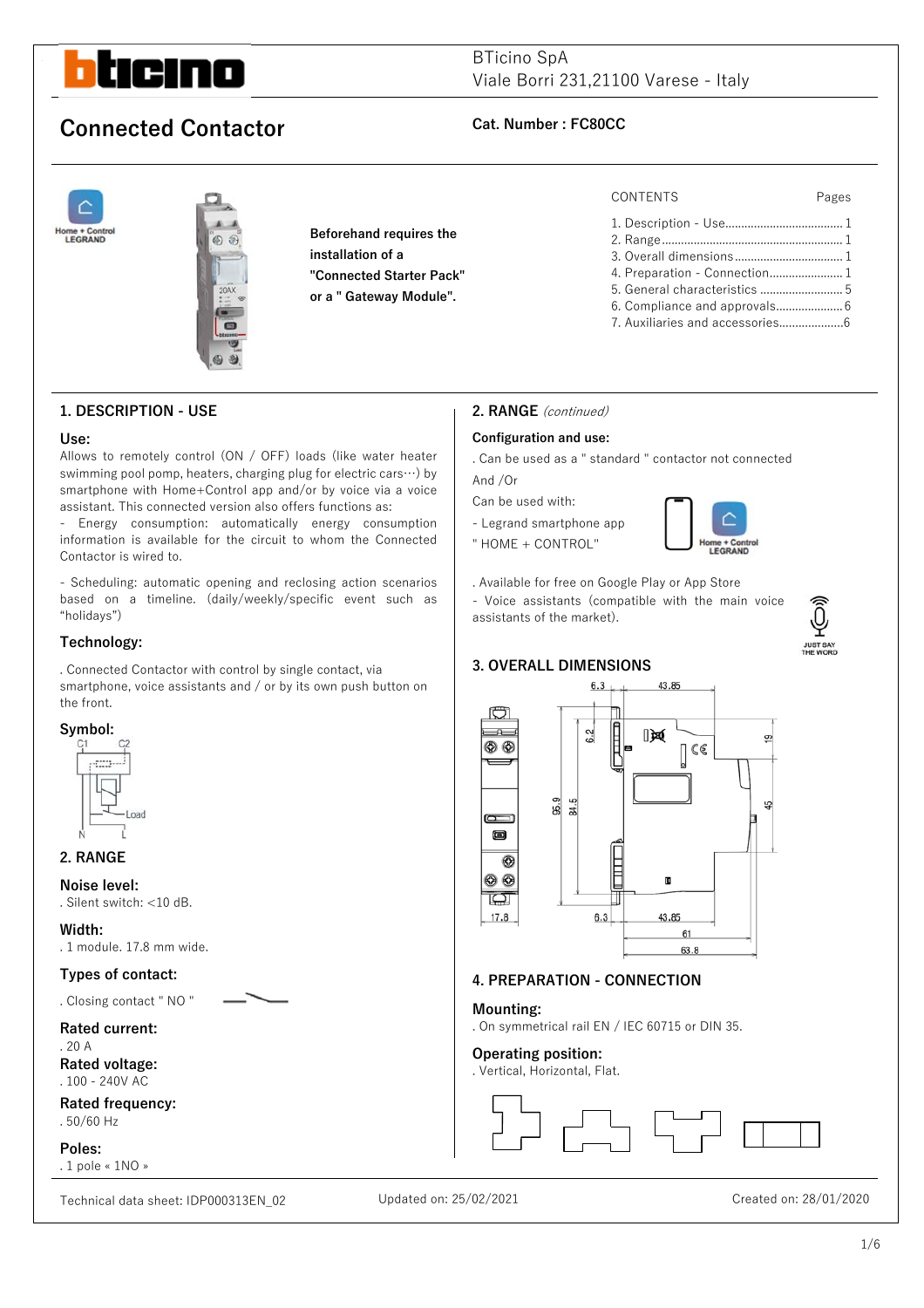

**1. DESCRIPTION - USE** 

Contactor is wired to.

"holidays") **Technology:** 

the front. **Symbol:** 

**2. RANGE Noise level:** 

**Width:** 

. Silent switch: <10 dB.

 $-1$ nad

. 1 module. 17.8 mm wide.

**Types of contact:**  . Closing contact " NO "

# BTicino SpA Viale Borri 231,21100 Varese - Italy

# **Connected Contactor Cat. Number : FC80CC**

**Use:** 



Allows to remotely control (ON / OFF) loads (like water heater swimming pool pomp, heaters, charging plug for electric cars…) by smartphone with Home+Control app and/or by voice via a voice assistant. This connected version also offers functions as: - Energy consumption: automatically energy consumption information is available for the circuit to whom the Connected

- Scheduling: automatic opening and reclosing action scenarios based on a timeline. (daily/weekly/specific event such as

. Connected Contactor with control by single contact, via smartphone, voice assistants and / or by its own push button on

**Beforehand requires the installation of a "Connected Starter Pack" or a " Gateway Module".** 

### CONTENTS Pages

1. Description - Use..................................... 1 2. Range ......................................................... 1 3. Overall dimensions .................................. 1 4. Preparation - Connection........................ 1 5. General characteristics .......................... 5 6. Compliance and approvals ..................... 6 7. Auxiliaries and accessories....................6

# **2. RANGE** (continued)

### **Configuration and use:**

. Can be used as a " standard " contactor not connected And /Or

Can be used with:

- Legrand smartphone app
- " HOME + CONTROL"



. Available for free on Google Play or App Store

- Voice assistants (compatible with the main voice assistants of the market).

## **3. OVERALL DIMENSIONS**



# **4. PREPARATION - CONNECTION**

### **Mounting:**

. On symmetrical rail EN / IEC 60715 or DIN 35.

### **Operating position:**

. Vertical, Horizontal, Flat.



# **Rated current:**

. 20 A **Rated voltage:** . 100 - 240V AC

**Rated frequency:** . 50/60 Hz

**Poles:**  . 1 pole « 1NO »

Technical data sheet: IDP000313EN\_02 Updated on: 25/02/2021 Created on: 28/01/2020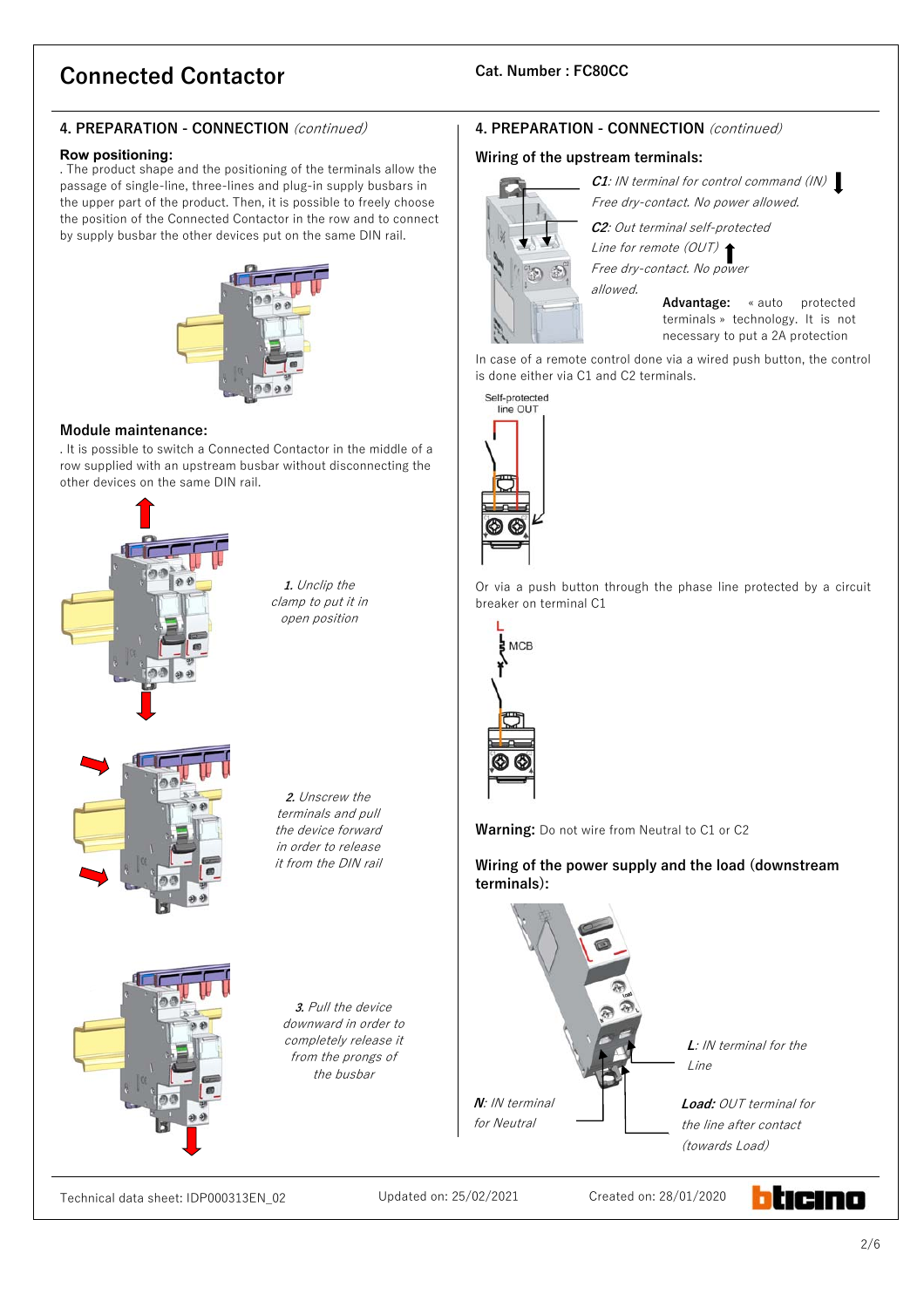# **4. PREPARATION - CONNECTION** (continued)

### **Row positioning:**

. The product shape and the positioning of the terminals allow the passage of single-line, three-lines and plug-in supply busbars in the upper part of the product. Then, it is possible to freely choose the position of the Connected Contactor in the row and to connect by supply busbar the other devices put on the same DIN rail.



### **Module maintenance:**

. It is possible to switch a Connected Contactor in the middle of a row supplied with an upstream busbar without disconnecting the other devices on the same DIN rail.



**1.** Unclip the clamp to put it in open position

**2.** Unscrew the terminals and pull the device forward in order to release it from the DIN rail

**3.** Pull the device downward in order to completely release it from the prongs of the busbar

# **4. PREPARATION - CONNECTION** (continued)

### **Wiring of the upstream terminals:**



**C1**: IN terminal for control command (IN) Free dry-contact. No power allowed. **C2**: Out terminal self-protected Line for remote (OUT)

Free dry-contact. No power allowed.

**Advantage:** « auto protected terminals » technology. It is not necessary to put a 2A protection

In case of a remote control done via a wired push button, the control is done either via C1 and C2 terminals.

Self-protected line OUT

Or via a push button through the phase line protected by a circuit breaker on terminal C1



**Warning:** Do not wire from Neutral to C1 or C2

**Wiring of the power supply and the load (downstream terminals):** 



Technical data sheet: IDP000313EN\_02 Updated on: 25/02/2021 Created on: 28/01/2020

hticino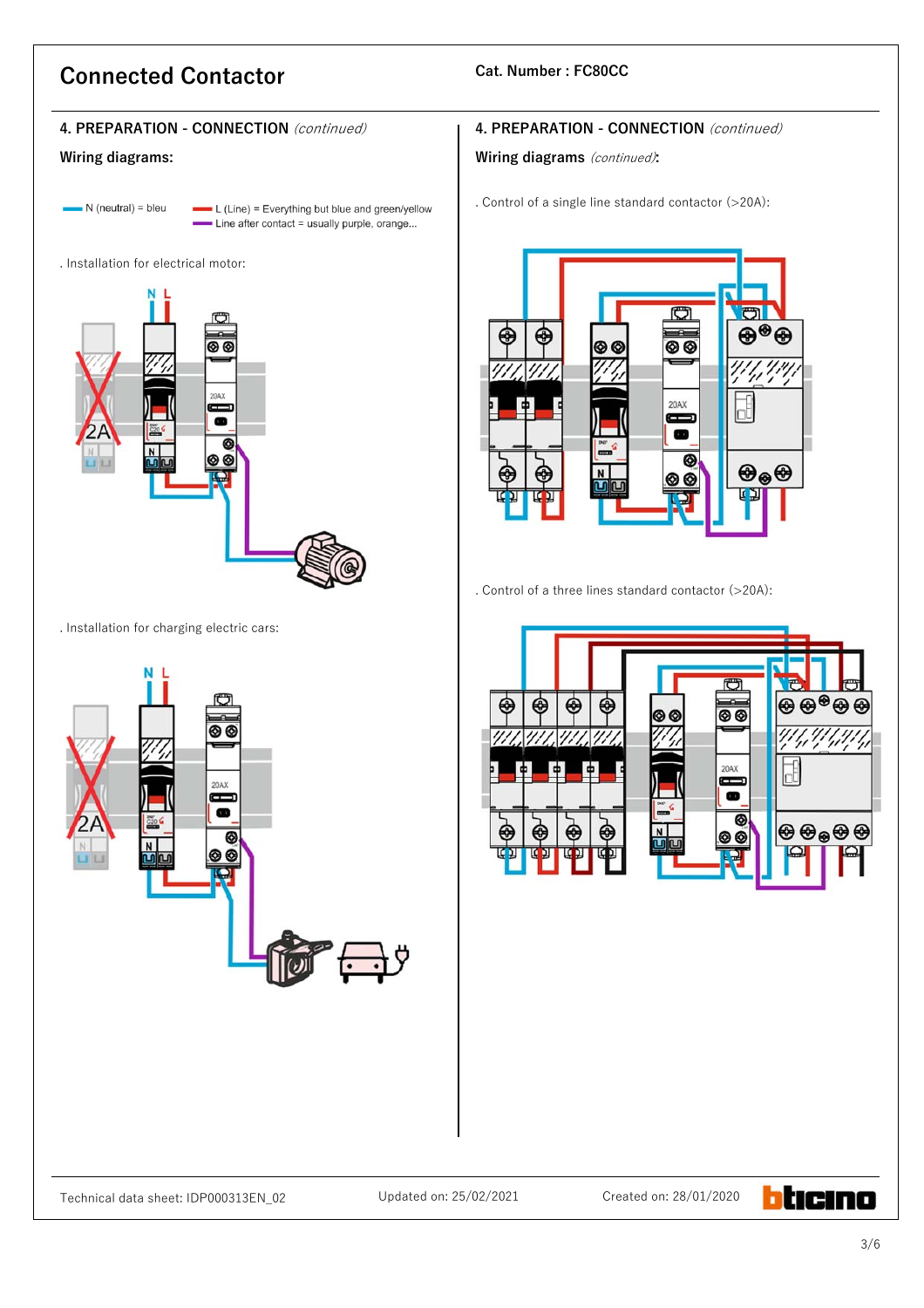# **4. PREPARATION - CONNECTION** (continued)

# **Wiring diagrams:**

 $\blacksquare$  N (neutral) = bleu

- $\blacksquare$  L (Line) = Everything but blue and green/yellow - Line after contact = usually purple, orange...
- . Installation for electrical motor:



. Installation for charging electric cars:



# **4. PREPARATION - CONNECTION** (continued)

### **Wiring diagrams** (continued)**:**

. Control of a single line standard contactor (>20A):



. Control of a three lines standard contactor (>20A):



btıcıno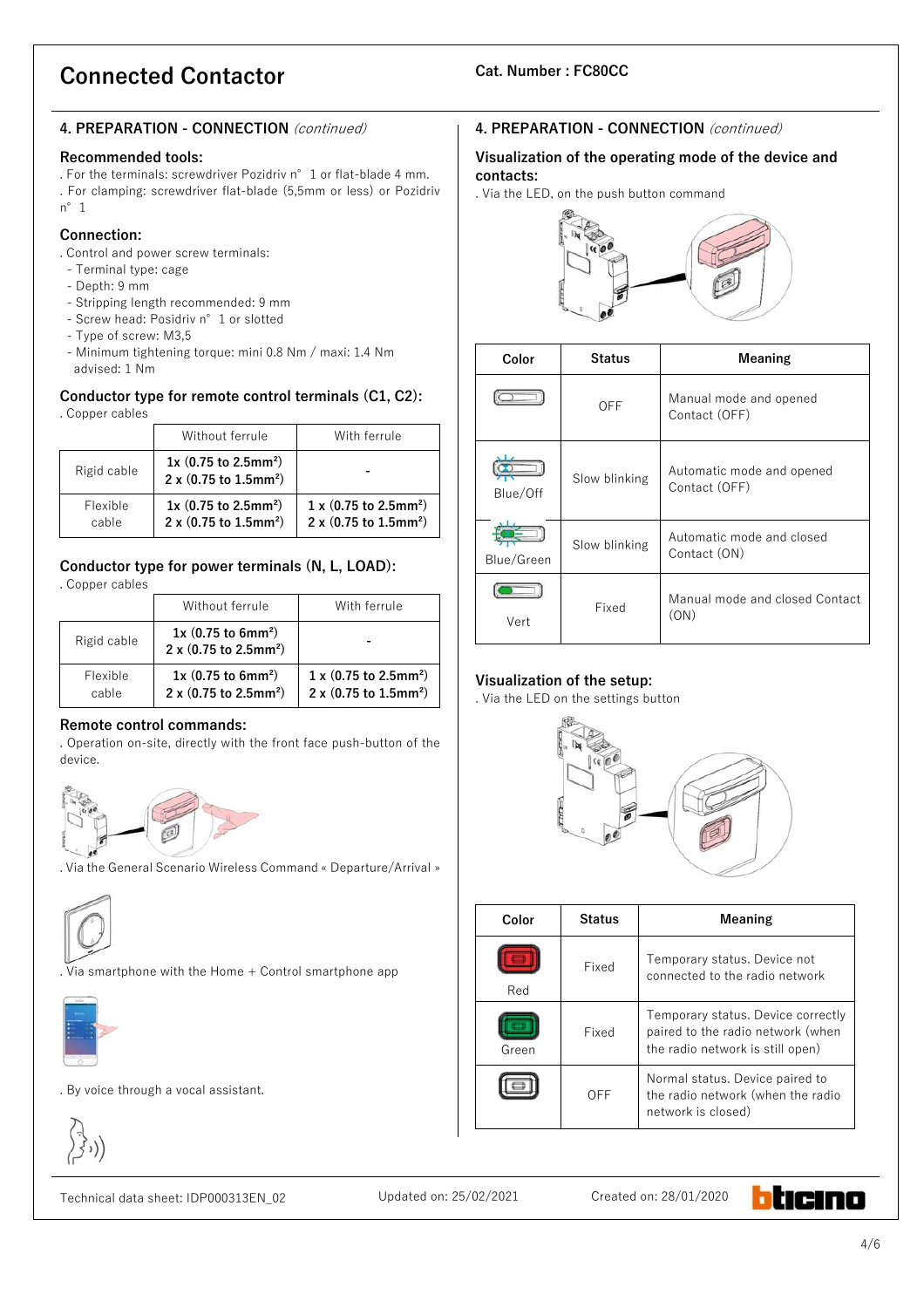# **4. PREPARATION - CONNECTION** (continued)

### **Recommended tools:**

. For the terminals: screwdriver Pozidriv n°1 or flat-blade 4 mm. . For clamping: screwdriver flat-blade (5,5mm or less) or Pozidriv n°1

# **Connection:**

. Control and power screw terminals:

- Terminal type: cage
- Depth: 9 mm
- Stripping length recommended: 9 mm
- Screw head: Posidriv n°1 or slotted
- Type of screw: M3,5
- Minimum tightening torque: mini 0.8 Nm / maxi: 1.4 Nm advised: 1 Nm

#### **Conductor type for remote control terminals (C1, C2):**  . Copper cables

|                   | Without ferrule                                                           | With ferrule                                                                          |  |
|-------------------|---------------------------------------------------------------------------|---------------------------------------------------------------------------------------|--|
| Rigid cable       | $1x$ (0.75 to 2.5mm <sup>2</sup> )<br>2 x (0.75 to 1.5mm <sup>2</sup> )   |                                                                                       |  |
| Flexible<br>cable | $1x$ (0.75 to 2.5mm <sup>2</sup> )<br>2 x $(0.75$ to 1.5mm <sup>2</sup> ) | $1 \times (0.75 \text{ to } 2.5 \text{mm}^2)$<br>2 x (0.75 to $1.5$ mm <sup>2</sup> ) |  |

# **Conductor type for power terminals (N, L, LOAD):**

. Copper cables

|                   | Without ferrule                                                                   | With ferrule                                                                                   |  |  |  |
|-------------------|-----------------------------------------------------------------------------------|------------------------------------------------------------------------------------------------|--|--|--|
| Rigid cable       | $1x(0.75)$ to 6mm <sup>2</sup> )<br>$2 \times (0.75$ to 2.5mm <sup>2</sup> )      |                                                                                                |  |  |  |
| Flexible<br>cable | $1x(0.75)$ to 6mm <sup>2</sup> )<br>$2 \times (0.75 \text{ to } 2.5 \text{mm}^2)$ | $1 \times (0.75 \text{ to } 2.5 \text{mm}^2)$<br>$2 \times (0.75 \text{ to } 1.5 \text{mm}^2)$ |  |  |  |

# **Remote control commands:**

. Operation on-site, directly with the front face push-button of the device.



. Via the General Scenario Wireless Command « Departure/Arrival »



. Via smartphone with the Home + Control smartphone app



. By voice through a vocal assistant.



# Technical data sheet: IDP000313EN\_02 Updated on: 25/02/2021 Created on: 28/01/2020

# **4. PREPARATION - CONNECTION** (continued)

# **Visualization of the operating mode of the device and contacts:**

. Via the LED, on the push button command



| Color      | <b>Status</b> | Meaning                                    |
|------------|---------------|--------------------------------------------|
|            | OFF           | Manual mode and opened<br>Contact (OFF)    |
| Blue/Off   | Slow blinking | Automatic mode and opened<br>Contact (OFF) |
| Blue/Green | Slow blinking | Automatic mode and closed<br>Contact (ON)  |
| Vert       | Fixed         | Manual mode and closed Contact<br>(ON)     |

# **Visualization of the setup:**

. Via the LED on the settings button



| Color | <b>Status</b> | Meaning                                                                                                     |
|-------|---------------|-------------------------------------------------------------------------------------------------------------|
| Red   | Fixed         | Temporary status. Device not<br>connected to the radio network                                              |
| Green | Fixed         | Temporary status. Device correctly<br>paired to the radio network (when<br>the radio network is still open) |
|       | OFF           | Normal status. Device paired to<br>the radio network (when the radio<br>network is closed)                  |

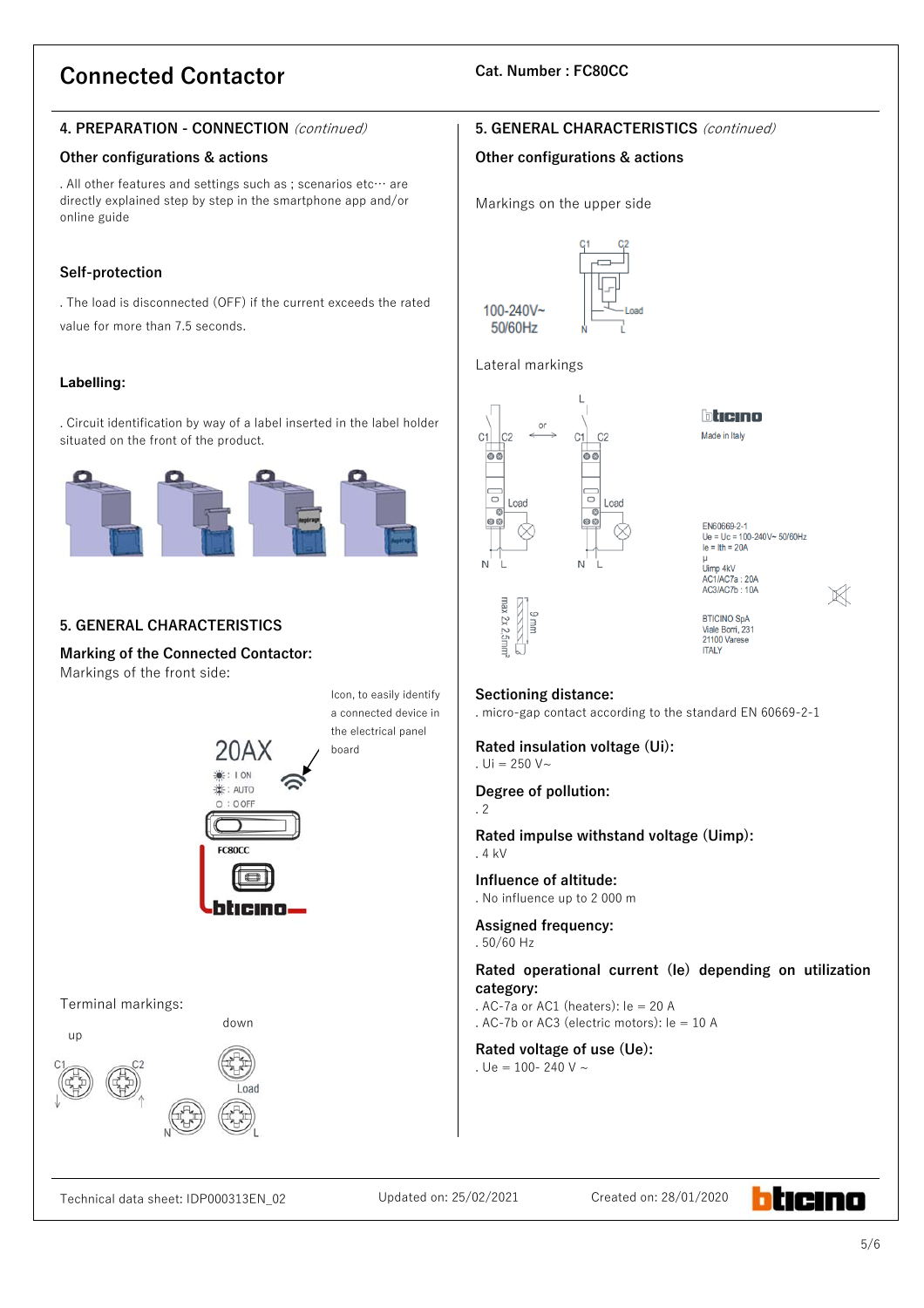# **4. PREPARATION - CONNECTION** (continued)

# **Other configurations & actions**

. All other features and settings such as ; scenarios etc… are directly explained step by step in the smartphone app and/or online guide

# **Self-protection**

. The load is disconnected (OFF) if the current exceeds the rated value for more than 7.5 seconds.

# **Labelling:**

. Circuit identification by way of a label inserted in the label holder situated on the front of the product.



# **5. GENERAL CHARACTERISTICS**

**Marking of the Connected Contactor:** Markings of the front side:



# **5. GENERAL CHARACTERISTICS** (continued)

# **Other configurations & actions**

Markings on the upper side



## Lateral markings



bticino

Made in Italy

EN60669-2-1 Ue = Uc = 100-240V~ 50/60Hz  $le = Ith = 20A$ Limp 4kV AC1/AC7a: 20A<br>AC3/AC7b: 10A

 $\mathbb{X}$ 

### BTICINO SpA<br>Viale Borri, 231 21100 Varese **ITALY**

# **Sectioning distance:**

. micro-gap contact according to the standard EN 60669-2-1

**Rated insulation voltage (Ui):** . Ui =  $250 V~$ 

# **Degree of pollution:**

. 2

**Rated impulse withstand voltage (Uimp):**  . 4 kV

**Influence of altitude:**  . No influence up to 2 000 m

**Assigned frequency:**  . 50/60 Hz

**Rated operational current (Ie) depending on utilization category:** 

. AC-7a or AC1 (heaters): le = 20 A

. AC-7b or AC3 (electric motors):  $le = 10$  A

**Rated voltage of use (Ue):**  . Ue = 100- 240 V  $\sim$ 

Technical data sheet: IDP000313EN\_02 Updated on: 25/02/2021 Created on: 28/01/2020